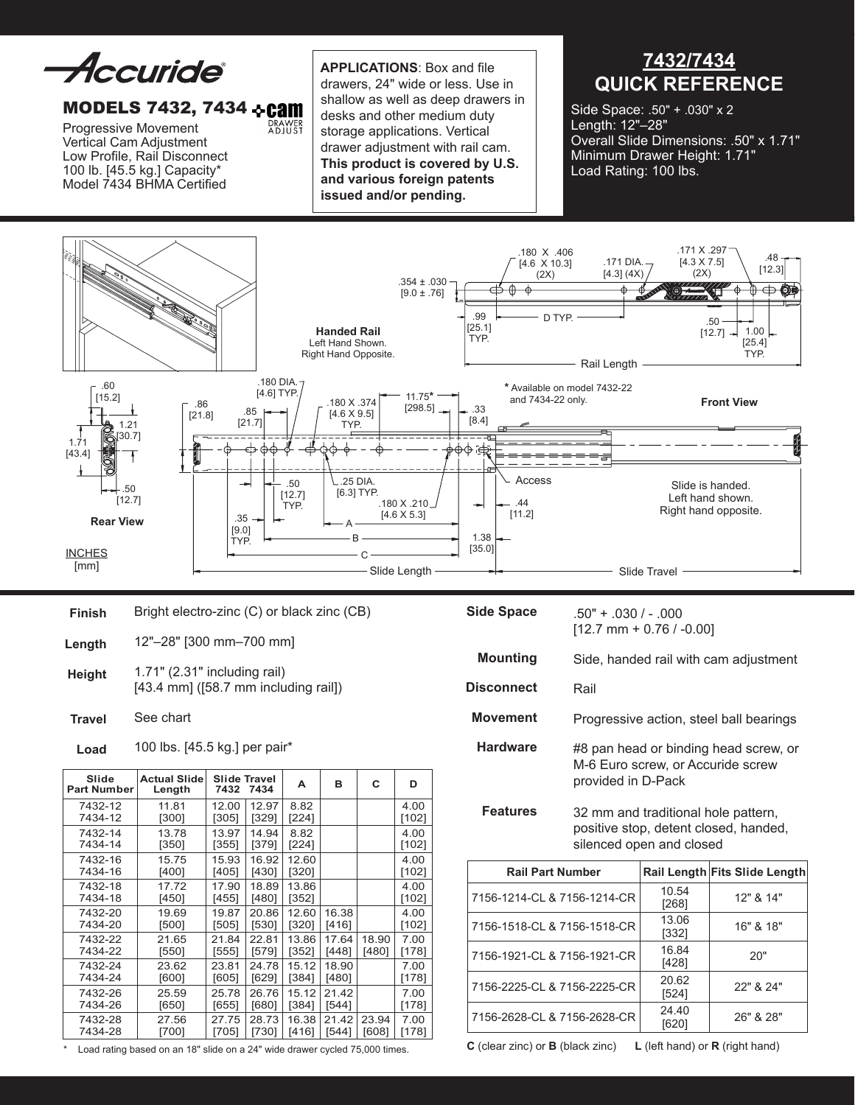Accuride

## MODELS 7432, 7434 & Cam

DRAWER<br>ADJUST

Progressive Movement Vertical Cam Adjustment Low Profile, Rail Disconnect 100 lb. [45.5 kg.] Capacity\* Model 7434 BHMA Certified

 **Applications**: Box and file drawers, 24" wide or less. Use in shallow as well as deep drawers in desks and other medium duty storage applications. Vertical drawer adjustment with rail cam. **This product is covered by U.S. and various foreign patents issued and/or pending.** 

**7432/7434 QUICK REFERENCE**

Side Space: .50" + .030" x 2 Length: 12"–28" Overall Slide Dimensions: .50" x 1.71" Minimum Drawer Height: 1.71" Load Rating: 100 lbs.



| Slide<br><b>Part Number</b>           | <b>Actual Slide</b><br>Length                                                             | <b>Slide Travel</b><br>7432 7434 | A | в | C |
|---------------------------------------|-------------------------------------------------------------------------------------------|----------------------------------|---|---|---|
| 100 lbs. [45.5 kg.] per pair*<br>Load |                                                                                           |                                  |   |   |   |
| <b>Travel</b>                         | See chart                                                                                 |                                  |   |   |   |
| <b>Height</b>                         | 1.71" (2.31" including rail)<br>$[43.4 \text{ mm}]$ ( $[58.7 \text{ mm}$ including rail]) |                                  |   |   |   |
| Length                                | 12"-28" [300 mm-700 mm]                                                                   |                                  |   |   |   |
| Finish                                | Bright electro-zinc (C) or black zinc (CB)                                                |                                  |   |   |   |

| slide<br><b>Part Number</b> | Actual Slide<br>Length | 7432           | Slide Travel<br>7434 | А              | в     | С     | D             |
|-----------------------------|------------------------|----------------|----------------------|----------------|-------|-------|---------------|
| 7432-12<br>7434-12          | 11.81<br>[300]         | 12.00<br>[305] | 12.97<br>[329]       | 8.82<br>[224]  |       |       | 4.00<br>[102] |
| 7432-14<br>7434-14          | 13.78<br>[350]         | 13.97<br>[355] | 14.94<br>[379]       | 8.82<br>[224]  |       |       | 4.00<br>[102] |
| 7432-16<br>7434-16          | 15.75<br>[400]         | 15.93<br>[405] | 16.92<br>[430]       | 12.60<br>[320] |       |       | 4.00<br>[102] |
| 7432-18<br>7434-18          | 17.72<br>[450]         | 17.90<br>[455] | 18.89<br>[480]       | 13.86<br>[352] |       |       | 4.00<br>[102] |
| 7432-20                     | 19.69                  | 19.87          | 20.86                | 12.60          | 16.38 |       | 4.00          |
| 7434-20                     | [500]                  | [505]          | [530]                | $[320]$        | [416] |       | [102]         |
| 7432-22                     | 21.65                  | 21.84          | 22.81                | 13.86          | 17.64 | 18.90 | 7.00          |
| 7434-22                     | [550]                  | [555]          | [579]                | [352]          | [448] | [480] | [178]         |
| 7432-24                     | 23.62                  | 23.81          | 24.78                | 15.12          | 18.90 |       | 7.00          |
| 7434-24                     | [600]                  | [605]          | [629]                | [384]          | [480] |       | [178]         |
| 7432-26                     | 25.59                  | 25.78          | 26.76                | 15.12          | 21.42 |       | 7.00          |
| 7434-26                     | [650]                  | [655]          | [680]                | [384]          | [544] |       | [178]         |
| 7432-28                     | 27.56                  | 27.75          | 28.73                | 16.38          | 21.42 | 23.94 | 7.00          |
| 7434-28                     | [700]                  | [705]          | [730]                | [416]          | [544] | [608] | [178]         |

\* Load rating based on an 18" slide on a 24" wide drawer cycled 75,000 times.

| <b>Side Space</b> | $.50" + .030/ - .000$<br>$[12.7$ mm + 0.76 / -0.00]                                              |
|-------------------|--------------------------------------------------------------------------------------------------|
| <b>Mounting</b>   | Side, handed rail with cam adjustment                                                            |
| <b>Disconnect</b> | Rail                                                                                             |
| <b>Movement</b>   | Progressive action, steel ball bearings                                                          |
| <b>Hardware</b>   | #8 pan head or binding head screw, or<br>M-6 Euro screw, or Accuride screw<br>provided in D-Pack |
| <b>Features</b>   | 32 mm and traditional hole pattern,<br>positive stan, detent elecod, handed                      |

positive stop, detent closed, handed, silenced open and closed

| <b>Rail Part Number</b>     |                | Rail Length Fits Slide Length |
|-----------------------------|----------------|-------------------------------|
| 7156-1214-CL & 7156-1214-CR | 10.54<br>[268] | 12" & 14"                     |
| 7156-1518-CL & 7156-1518-CR | 13.06<br>[332] | 16" & 18"                     |
| 7156-1921-CL & 7156-1921-CR | 16.84<br>[428] | 20"                           |
| 7156-2225-CL & 7156-2225-CR | 20.62<br>[524] | 22" & 24"                     |
| 7156-2628-CL & 7156-2628-CR | 24.40          | 26" & 28"                     |

**C** (clear zinc) or **B** (black zinc) **L** (left hand) or **R** (right hand)